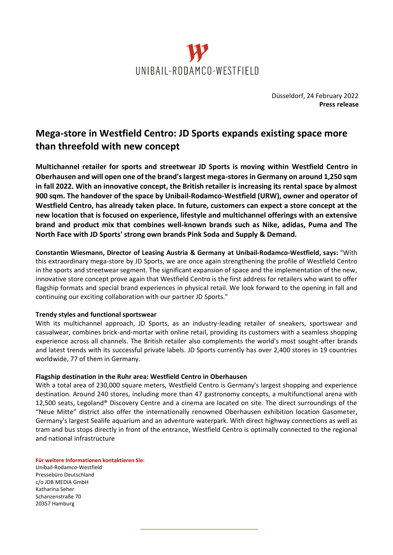

Düsseldorf, 24 February 2022 **Press release**

## **Mega-store in Westfield Centro: JD Sports expands existing space more than threefold with new concept**

**Multichannel retailer for sports and streetwear JD Sports is moving within Westfield Centro in Oberhausen and will open one of the brand's largest mega-stores in Germany on around 1,250 sqm in fall 2022. With an innovative concept, the British retailer is increasing its rental space by almost 900 sqm. The handover of the space by Unibail-Rodamco-Westfield (URW), owner and operator of Westfield Centro, has already taken place. In future, customers can expect a store concept at the new location that is focused on experience, lifestyle and multichannel offerings with an extensive brand and product mix that combines well-known brands such as Nike, adidas, Puma and The North Face with JD Sports' strong own brands Pink Soda and Supply & Demand.**

**Constantin Wiesmann, Director of Leasing Austria & Germany at Unibail-Rodamco-Westfield, says:** "With this extraordinary mega-store by JD Sports, we are once again strengthening the profile of Westfield Centro in the sports and streetwear segment. The significant expansion of space and the implementation of the new, innovative store concept prove again that Westfield Centro is the first address for retailers who want to offer flagship formats and special brand experiences in physical retail. We look forward to the opening in fall and continuing our exciting collaboration with our partner JD Sports."

## **Trendy styles and functional sportswear**

With its multichannel approach, JD Sports, as an industry-leading retailer of sneakers, sportswear and casualwear, combines brick-and-mortar with online retail, providing its customers with a seamless shopping experience across all channels. The British retailer also complements the world's most sought-after brands and latest trends with its successful private labels. JD Sports currently has over 2,400 stores in 19 countries worldwide, 77 of them in Germany.

## **Flagship destination in the Ruhr area: Westfield Centro in Oberhausen**

With a total area of 230,000 square meters, Westfield Centro is Germany's largest shopping and experience destination. Around 240 stores, including more than 47 gastronomy concepts, a multifunctional arena with 12,500 seats, Legoland® Discovery Centre and a cinema are located on site. The direct surroundings of the "Neue Mitte" district also offer the internationally renowned Oberhausen exhibition location Gasometer, Germany's largest Sealife aquarium and an adventure waterpark. With direct highway connections as well as tram and bus stops directly in front of the entrance, Westfield Centro is optimally connected to the regional and national infrastructure

**Für weitere Informationen kontaktieren Sie:** Unibail-Rodamco-Westfield Pressebüro Deutschland c/o JDB MEDIA GmbH Katharina Seher Schanzenstraße 70 20357 Hamburg